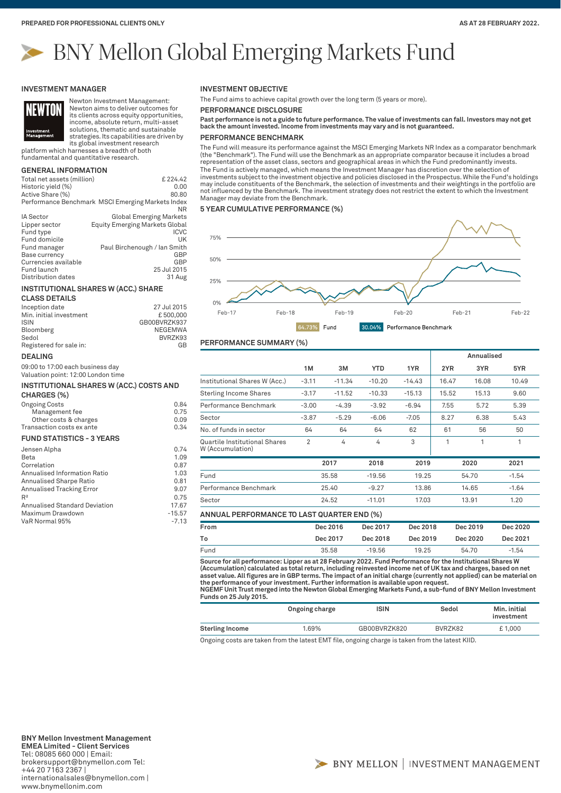# BNY Mellon Global Emerging Markets Fund

#### **INVESTMENT MANAGER**



Newton Investment Management: Newton aims to deliver outcomes for its clients across equity opportunities, income, absolute return, multi-asset

solutions, thematic and sustainable strategies. Its capabilities are driven by its global investment research

platform which harnesses a breadth of both fundamental and quantitative research.

## **GENERAL INFORMATION**

| Total net assets (million) | £224.42                                           |
|----------------------------|---------------------------------------------------|
| Historic yield (%)         | 0.00                                              |
| Active Share (%)           | 80.80                                             |
|                            | Performance Benchmark MSCI Emerging Markets Index |
|                            | ΝR                                                |
| IA Sector                  | <b>Global Emerging Markets</b>                    |
| Lipper sector              | <b>Equity Emerging Markets Global</b>             |
| Fund type                  | <b>ICVC</b>                                       |
| Fund domicile              | UK                                                |
| Fund manager               | Paul Birchenough / Ian Smith                      |
| Base currency              | GBP                                               |
| Currencies available       | GBP                                               |
| Fund launch                | 25 Jul 2015                                       |
| Distribution dates         | 31 Aug                                            |

#### **INSTITUTIONAL SHARES W (ACC.) SHARE**

#### **CLASS DETAILS**

| Inception date          | 27 Jul 2015    |
|-------------------------|----------------|
| Min. initial investment | £500,000       |
| <b>ISIN</b>             | GB00BVRZK937   |
| Bloomberg               | NEGEMWA        |
| Sedol                   | BVRZK93        |
| Registered for sale in: | G <sub>R</sub> |

#### **DEALING**

09:00 to 17:00 each business day Valuation point: 12:00 London time

# **INSTITUTIONAL SHARES W (ACC.) COSTS AND**

# **CHARGES (%)**

| <b>Ongoing Costs</b>      | 0.84 |
|---------------------------|------|
| Management fee            | 0.75 |
| Other costs & charges     | 0.09 |
| Transaction costs ex ante | 0.34 |

#### **FUND STATISTICS - 3 YEARS**

| Jensen Alpha                     | 0.74     |
|----------------------------------|----------|
| Beta                             | 1.09     |
| Correlation                      | 0.87     |
| Annualised Information Ratio     | 1.03     |
| Annualised Sharpe Ratio          | 0.81     |
| <b>Annualised Tracking Error</b> | 9.07     |
| R <sup>2</sup>                   | 0.75     |
| Annualised Standard Deviation    | 17.67    |
| Maximum Drawdown                 | $-15.57$ |
| VaR Normal 95%                   | $-7.13$  |
|                                  |          |

#### **INVESTMENT OBJECTIVE**

The Fund aims to achieve capital growth over the long term (5 years or more).

**PERFORMANCE DISCLOSURE**

**Past performance is not a guide to future performance. The value of investments can fall. Investors may not get back the amount invested. Income from investments may vary and is not guaranteed.**

#### **PERFORMANCE BENCHMARK**

The Fund will measure its performance against the MSCI Emerging Markets NR Index as a comparator benchmark (the "Benchmark"). The Fund will use the Benchmark as an appropriate comparator because it includes a broad representation of the asset class, sectors and geographical areas in which the Fund predominantly invests. The Fund is actively managed, which means the Investment Manager has discretion over the selection of investments subject to the investment objective and policies disclosed in the Prospectus. While the Fund's holdings may include constituents of the Benchmark, the selection of investments and their weightings in the portfolio are not influenced by the Benchmark. The investment strategy does not restrict the extent to which the Investment Manager may deviate from the Benchmark.

#### **5 YEAR CUMULATIVE PERFORMANCE (%)**



#### **PERFORMANCE SUMMARY (%)**

|                                                   |                |          |            |          |       | Annualised |         |
|---------------------------------------------------|----------------|----------|------------|----------|-------|------------|---------|
|                                                   | 1M             | 3M       | <b>YTD</b> | 1YR      | 2YR   | 3YR        | 5YR     |
| Institutional Shares W (Acc.)                     | $-3.11$        | $-11.34$ | $-10.20$   | $-14.43$ | 16.47 | 16.08      | 10.49   |
| <b>Sterling Income Shares</b>                     | $-3.17$        | $-11.52$ | $-10.33$   | $-15.13$ | 15.52 | 15.13      | 9.60    |
| Performance Benchmark                             | $-3.00$        | $-4.39$  | $-3.92$    | $-6.94$  | 7.55  | 5.72       | 5.39    |
| Sector                                            | $-3.87$        | $-5.29$  | $-6.06$    | $-7.05$  | 8.27  | 6.38       | 5.43    |
| No. of funds in sector                            | 64             | 64       | 64         | 62       | 61    | 56         | 50      |
| Quartile Institutional Shares<br>W (Accumulation) | $\overline{2}$ | 4        | 4          | 3        | 1     | 1          | 1       |
|                                                   |                | 2017     | 2018       | 2019     |       | 2020       | 2021    |
| Fund                                              |                | 35.58    | $-19.56$   | 19.25    |       | 54.70      | $-1.54$ |
| Performance Benchmark                             |                | 25.40    | $-9.27$    | 13.86    |       | 14.65      | $-1.64$ |
| Sector                                            |                | 24.52    | $-11.01$   | 17.03    |       | 13.91      | 1.20    |
| ANNUAL PERFORMANCE TO LAST QUARTER END (%)        |                |          |            |          |       |            |         |

| From | Dec 2016 | Dec 2017 | Dec 2018 | Dec 2019 | Dec 2020 |  |
|------|----------|----------|----------|----------|----------|--|
| To   | Dec 2017 | Dec 2018 | Dec 2019 | Dec 2020 | Dec 2021 |  |
| Fund | 35.58    | $-19.56$ | 19.25    | 54.70    | $-1.54$  |  |

**Source for all performance: Lipper as at 28 February 2022. Fund Performance for the Institutional Shares W (Accumulation) calculated as total return, including reinvested income net of UK tax and charges, based on net asset value. All figures are in GBP terms. The impact of an initial charge (currently not applied) can be material on the performance of your investment. Further information is available upon request. NGEMF Unit Trust merged into the Newton Global Emerging Markets Fund, a sub-fund of BNY Mellon Investment** 

**Funds on 25 July 2015.**

|                        | Ongoing charge | ISIN         | Sedol   | Min. initial<br>investment |
|------------------------|----------------|--------------|---------|----------------------------|
| <b>Sterling Income</b> | 1.69%          | GB00BVRZK820 | BVRZK82 | £1.000                     |
|                        | _________      |              |         |                            |

Ongoing costs are taken from the latest EMT file, ongoing charge is taken from the latest KIID.